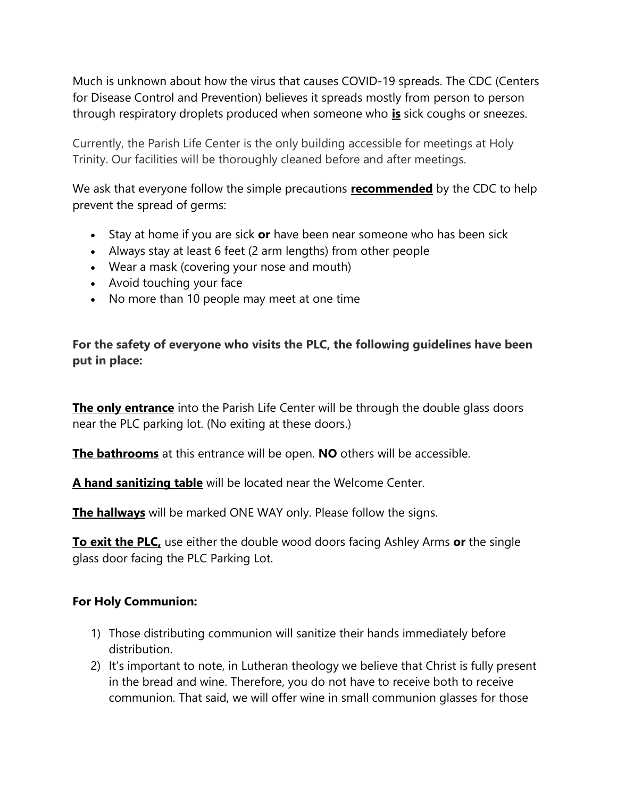Much is unknown about how the virus that causes COVID-19 spreads. The CDC (Centers for Disease Control and Prevention) believes it spreads mostly from person to person through respiratory droplets produced when someone who **is** sick coughs or sneezes.

Currently, the Parish Life Center is the only building accessible for meetings at Holy Trinity. Our facilities will be thoroughly cleaned before and after meetings.

We ask that everyone follow the simple precautions **recommended** by the CDC to help prevent the spread of germs:

- Stay at home if you are sick or have been near someone who has been sick
- Always stay at least 6 feet (2 arm lengths) from other people
- Wear a mask (covering your nose and mouth)
- Avoid touching your face
- No more than 10 people may meet at one time

For the safety of everyone who visits the PLC, the following guidelines have been put in place:

The only entrance into the Parish Life Center will be through the double glass doors near the PLC parking lot. (No exiting at these doors.)

The bathrooms at this entrance will be open. NO others will be accessible.

A hand sanitizing table will be located near the Welcome Center.

**The hallways** will be marked ONE WAY only. Please follow the signs.

To exit the PLC, use either the double wood doors facing Ashley Arms or the single glass door facing the PLC Parking Lot.

## For Holy Communion:

- 1) Those distributing communion will sanitize their hands immediately before distribution.
- 2) It's important to note, in Lutheran theology we believe that Christ is fully present in the bread and wine. Therefore, you do not have to receive both to receive communion. That said, we will offer wine in small communion glasses for those